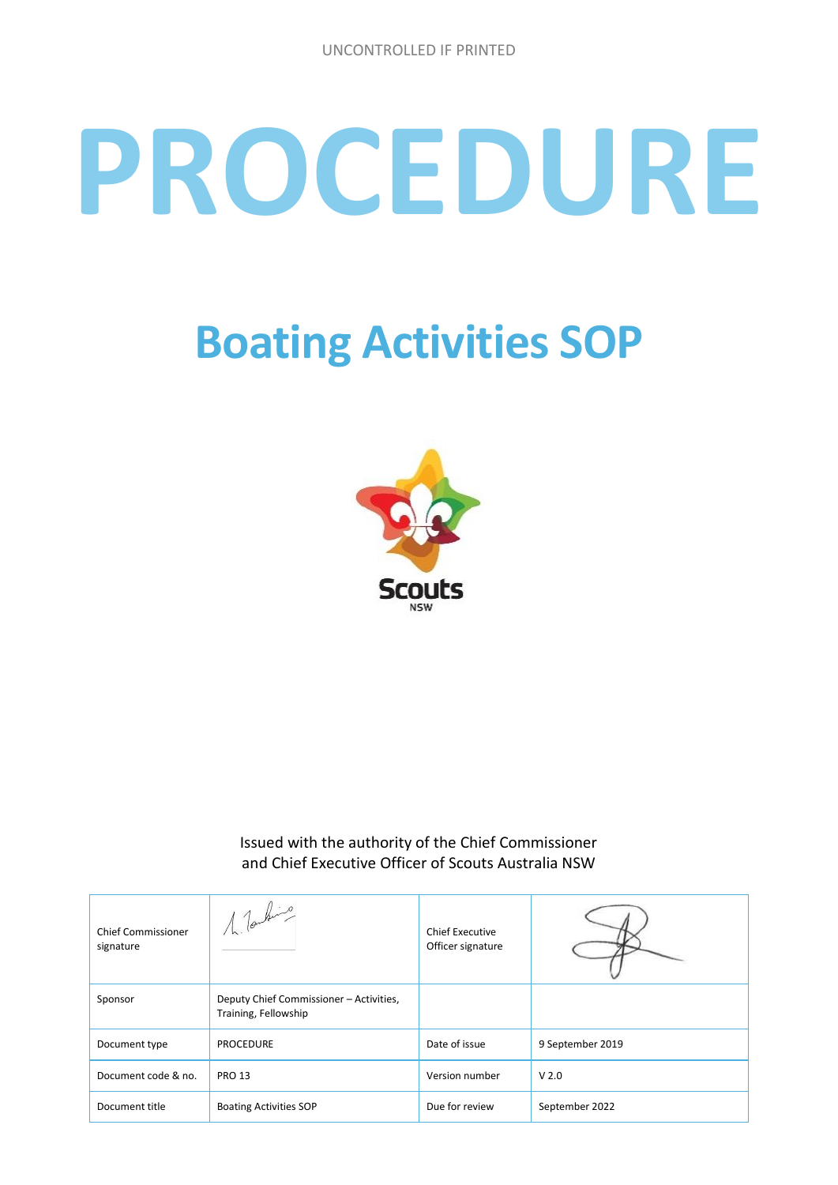# **PROCEDURE**

## **Boating Activities SOP**



Issued with the authority of the Chief Commissioner and Chief Executive Officer of Scouts Australia NSW

| <b>Chief Commissioner</b><br>signature | 1 Touring                                                       | <b>Chief Executive</b><br>Officer signature |                  |
|----------------------------------------|-----------------------------------------------------------------|---------------------------------------------|------------------|
| Sponsor                                | Deputy Chief Commissioner - Activities,<br>Training, Fellowship |                                             |                  |
| Document type                          | <b>PROCEDURE</b>                                                | Date of issue                               | 9 September 2019 |
| Document code & no.                    | <b>PRO 13</b>                                                   | Version number                              | V <sub>2.0</sub> |
| Document title                         | <b>Boating Activities SOP</b>                                   | Due for review                              | September 2022   |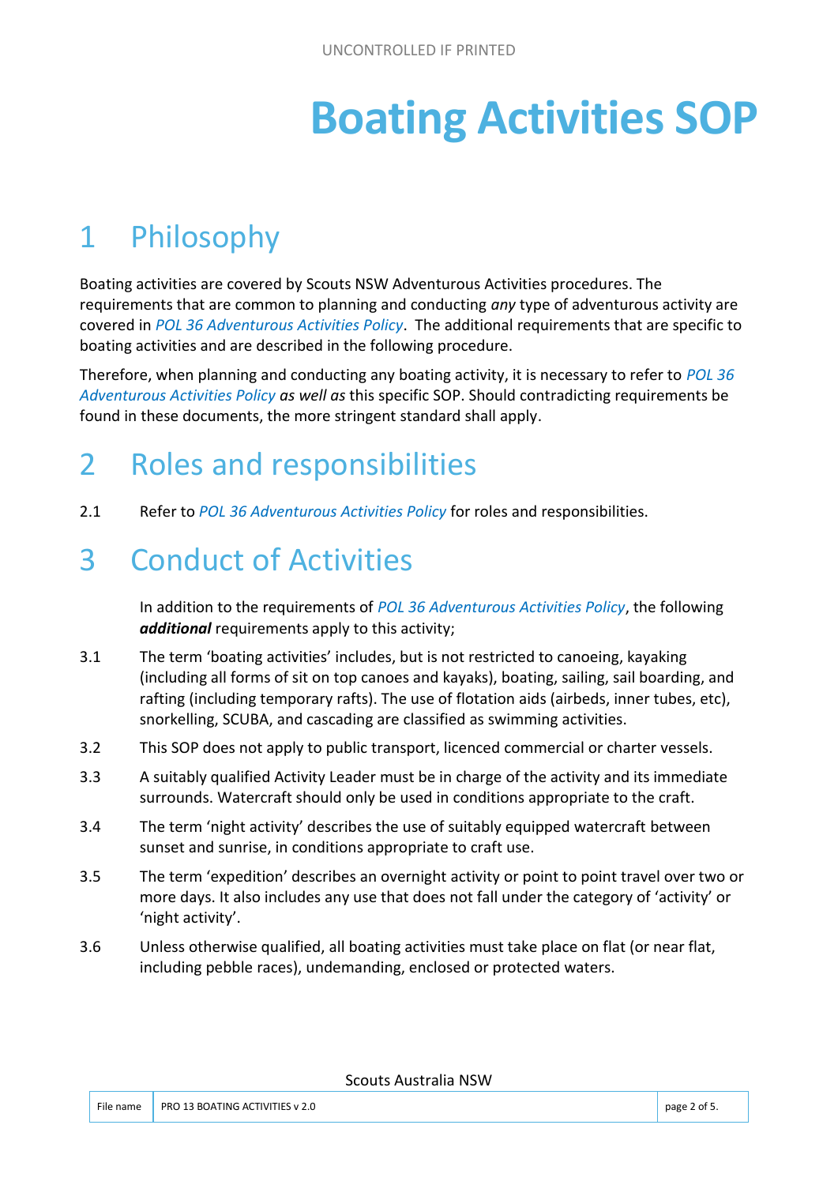## **Boating Activities SOP**

### 1 Philosophy

Boating activities are covered by Scouts NSW Adventurous Activities procedures. The requirements that are common to planning and conducting *any* type of adventurous activity are covered in *POL 36 Adventurous Activities Policy*. The additional requirements that are specific to boating activities and are described in the following procedure.

Therefore, when planning and conducting any boating activity, it is necessary to refer to *POL 36 Adventurous Activities Policy as well as* this specific SOP. Should contradicting requirements be found in these documents, the more stringent standard shall apply.

#### 2 Roles and responsibilities

2.1 Refer to *POL 36 Adventurous Activities Policy* for roles and responsibilities.

#### 3 Conduct of Activities

In addition to the requirements of *POL 36 Adventurous Activities Policy*, the following *additional* requirements apply to this activity;

- 3.1 The term 'boating activities' includes, but is not restricted to canoeing, kayaking (including all forms of sit on top canoes and kayaks), boating, sailing, sail boarding, and rafting (including temporary rafts). The use of flotation aids (airbeds, inner tubes, etc), snorkelling, SCUBA, and cascading are classified as swimming activities.
- 3.2 This SOP does not apply to public transport, licenced commercial or charter vessels.
- 3.3 A suitably qualified Activity Leader must be in charge of the activity and its immediate surrounds. Watercraft should only be used in conditions appropriate to the craft.
- 3.4 The term 'night activity' describes the use of suitably equipped watercraft between sunset and sunrise, in conditions appropriate to craft use.
- 3.5 The term 'expedition' describes an overnight activity or point to point travel over two or more days. It also includes any use that does not fall under the category of 'activity' or 'night activity'.
- 3.6 Unless otherwise qualified, all boating activities must take place on flat (or near flat, including pebble races), undemanding, enclosed or protected waters.

Scouts Australia NSW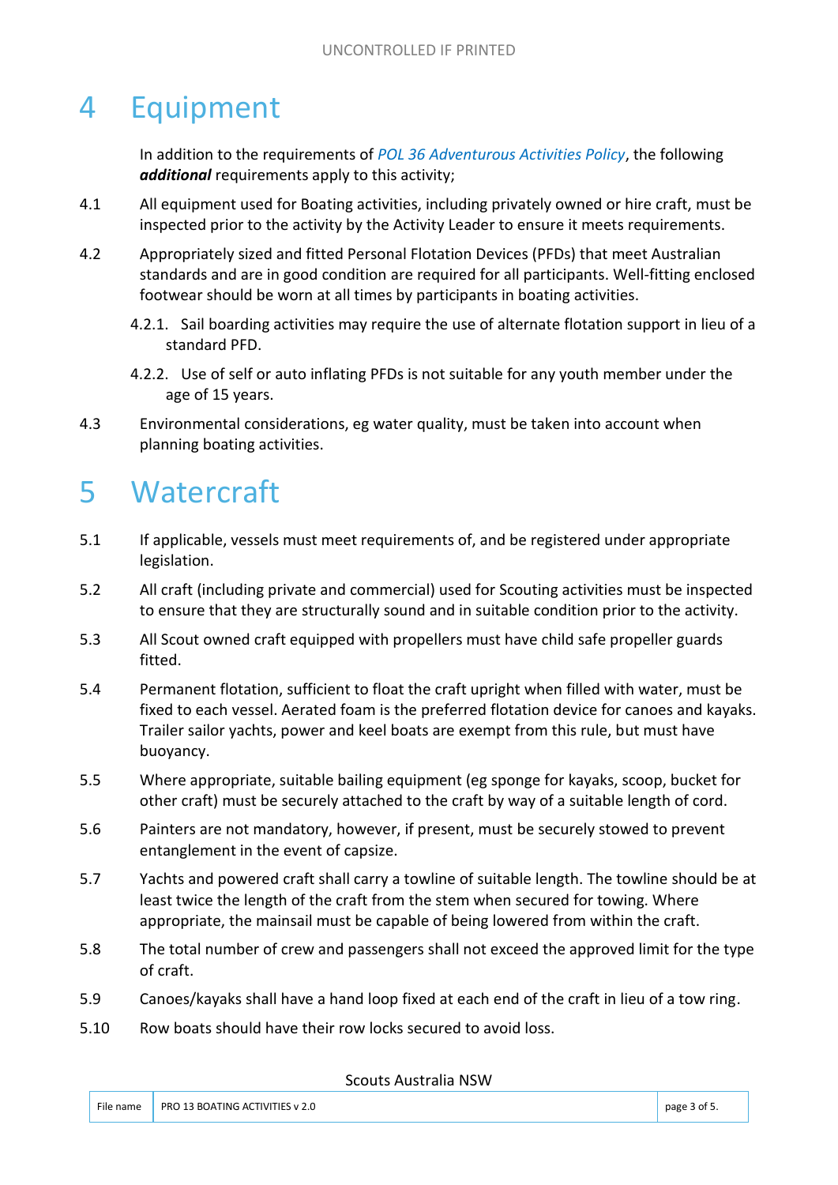#### 4 Equipment

In addition to the requirements of *POL 36 Adventurous Activities Policy*, the following *additional* requirements apply to this activity;

- 4.1 All equipment used for Boating activities, including privately owned or hire craft, must be inspected prior to the activity by the Activity Leader to ensure it meets requirements.
- 4.2 Appropriately sized and fitted Personal Flotation Devices (PFDs) that meet Australian standards and are in good condition are required for all participants. Well-fitting enclosed footwear should be worn at all times by participants in boating activities.
	- 4.2.1. Sail boarding activities may require the use of alternate flotation support in lieu of a standard PFD.
	- 4.2.2. Use of self or auto inflating PFDs is not suitable for any youth member under the age of 15 years.
- 4.3 Environmental considerations, eg water quality, must be taken into account when planning boating activities.

#### 5 Watercraft

- 5.1 If applicable, vessels must meet requirements of, and be registered under appropriate legislation.
- 5.2 All craft (including private and commercial) used for Scouting activities must be inspected to ensure that they are structurally sound and in suitable condition prior to the activity.
- 5.3 All Scout owned craft equipped with propellers must have child safe propeller guards fitted.
- 5.4 Permanent flotation, sufficient to float the craft upright when filled with water, must be fixed to each vessel. Aerated foam is the preferred flotation device for canoes and kayaks. Trailer sailor yachts, power and keel boats are exempt from this rule, but must have buoyancy.
- 5.5 Where appropriate, suitable bailing equipment (eg sponge for kayaks, scoop, bucket for other craft) must be securely attached to the craft by way of a suitable length of cord.
- 5.6 Painters are not mandatory, however, if present, must be securely stowed to prevent entanglement in the event of capsize.
- 5.7 Yachts and powered craft shall carry a towline of suitable length. The towline should be at least twice the length of the craft from the stem when secured for towing. Where appropriate, the mainsail must be capable of being lowered from within the craft.
- 5.8 The total number of crew and passengers shall not exceed the approved limit for the type of craft.
- 5.9 Canoes/kayaks shall have a hand loop fixed at each end of the craft in lieu of a tow ring.
- 5.10 Row boats should have their row locks secured to avoid loss.

Scouts Australia NSW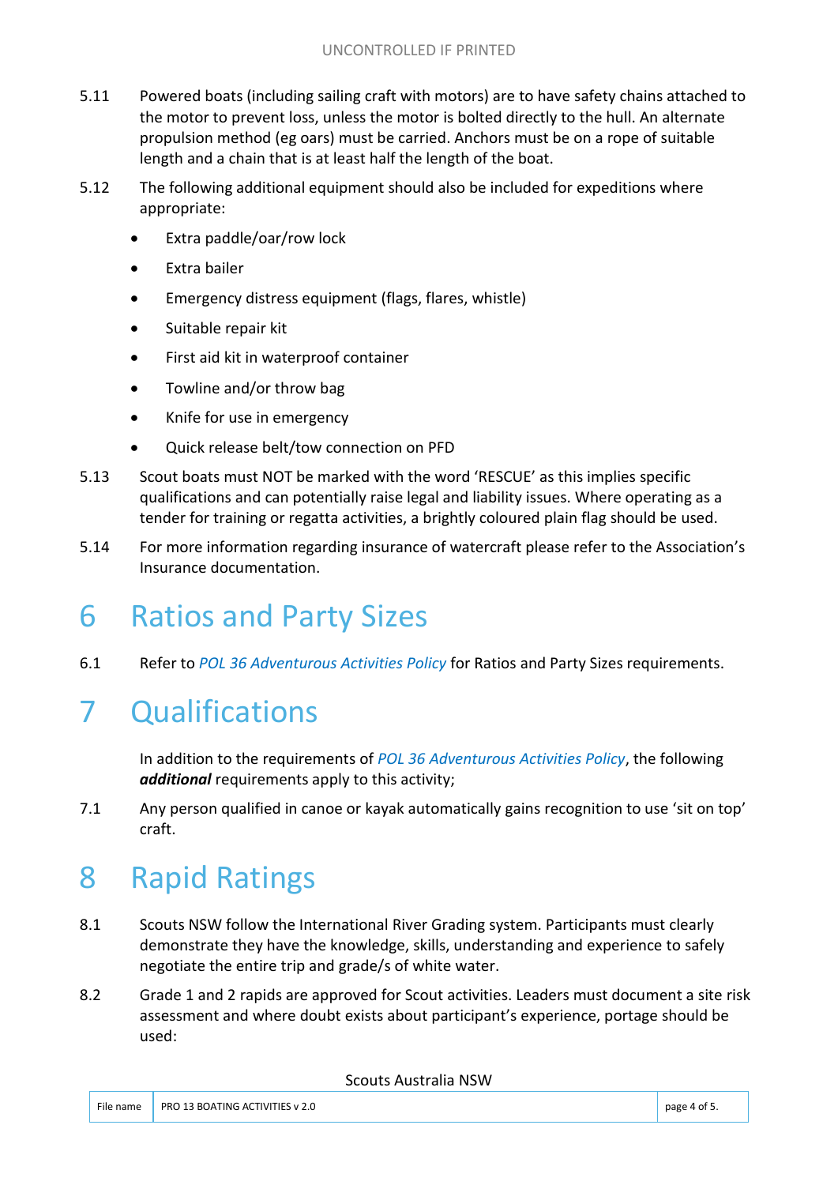- 5.11 Powered boats (including sailing craft with motors) are to have safety chains attached to the motor to prevent loss, unless the motor is bolted directly to the hull. An alternate propulsion method (eg oars) must be carried. Anchors must be on a rope of suitable length and a chain that is at least half the length of the boat.
- 5.12 The following additional equipment should also be included for expeditions where appropriate:
	- Extra paddle/oar/row lock
	- Extra bailer
	- Emergency distress equipment (flags, flares, whistle)
	- Suitable repair kit
	- First aid kit in waterproof container
	- Towline and/or throw bag
	- Knife for use in emergency
	- Quick release belt/tow connection on PFD
- 5.13 Scout boats must NOT be marked with the word 'RESCUE' as this implies specific qualifications and can potentially raise legal and liability issues. Where operating as a tender for training or regatta activities, a brightly coloured plain flag should be used.
- 5.14 For more information regarding insurance of watercraft please refer to the Association's Insurance documentation.

#### 6 Ratios and Party Sizes

6.1 Refer to *POL 36 Adventurous Activities Policy* for Ratios and Party Sizes requirements.

### 7 Qualifications

In addition to the requirements of *POL 36 Adventurous Activities Policy*, the following *additional* requirements apply to this activity;

7.1 Any person qualified in canoe or kayak automatically gains recognition to use 'sit on top' craft.

### 8 Rapid Ratings

- 8.1 Scouts NSW follow the International River Grading system. Participants must clearly demonstrate they have the knowledge, skills, understanding and experience to safely negotiate the entire trip and grade/s of white water.
- 8.2 Grade 1 and 2 rapids are approved for Scout activities. Leaders must document a site risk assessment and where doubt exists about participant's experience, portage should be used:

#### Scouts Australia NSW